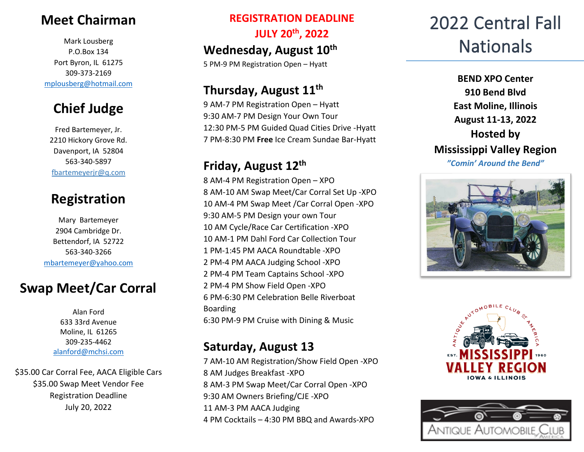### **Meet Chairman**

Mark Lousberg P.O.Box 134 Port Byron, IL 61275 309-373-2169 [mplousberg@hotmail.com](mailto:mplousberg@hotmail.com)

### **Chief Judge**

Fred Bartemeyer, Jr. 2210 Hickory Grove Rd. Davenport, IA 52804 563-340-5897 fbartemeyerjr@q.com

### **Registration**

Mary Bartemeyer 2904 Cambridge Dr. Bettendorf, IA 52722 563-340-3266 [mbartemeyer@yahoo.com](mailto:mbartemeyer@yahoo.com)

### **Swap Meet/Car Corral**

Alan Ford 633 33rd Avenue Moline, IL 61265 309-235-4462 [alanford@mchsi.com](mailto:alanford@mchsi.com)

\$35.00 Car Corral Fee, AACA Eligible Cars \$35.00 Swap Meet Vendor Fee Registration Deadline July 20, 2022

## **REGISTRATION DEADLINE JULY 20th, 2022**

Wednesday, August 10<sup>th</sup>

5 PM-9 PM Registration Open – Hyatt

### **Thursday, August 11th**

9 AM-7 PM Registration Open – Hyatt 9:30 AM-7 PM Design Your Own Tour 12:30 PM-5 PM Guided Quad Cities Drive -Hyatt 7 PM-8:30 PM **Free** Ice Cream Sundae Bar-Hyatt

### **Friday, August 12th**

 AM-4 PM Registration Open – XPO AM-10 AM Swap Meet/Car Corral Set Up -XPO AM-4 PM Swap Meet /Car Corral Open -XPO 9:30 AM-5 PM Design your own Tour AM Cycle/Race Car Certification -XPO AM-1 PM Dahl Ford Car Collection Tour PM-1:45 PM AACA Roundtable -XPO PM-4 PM AACA Judging School -XPO PM-4 PM Team Captains School -XPO PM-4 PM Show Field Open -XPO PM-6:30 PM Celebration Belle Riverboat Boarding 6:30 PM-9 PM Cruise with Dining & Music

### **Saturday, August 13**

 AM-10 AM Registration/Show Field Open -XPO AM Judges Breakfast -XPO AM-3 PM Swap Meet/Car Corral Open -XPO 9:30 AM Owners Briefing/CJE -XPO AM-3 PM AACA Judging PM Cocktails – 4:30 PM BBQ and Awards-XPO

# 2022 Central Fall **Nationals**

**BEND XPO Center 910 Bend Blvd East Moline, Illinois August 11-13, 2022 Hosted by Mississippi Valley Region** *"Comin' Around the Bend"*